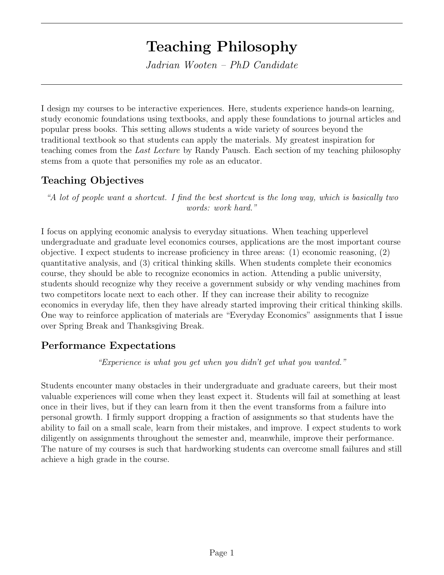# Teaching Philosophy

Jadrian Wooten – PhD Candidate

I design my courses to be interactive experiences. Here, students experience hands-on learning, study economic foundations using textbooks, and apply these foundations to journal articles and popular press books. This setting allows students a wide variety of sources beyond the traditional textbook so that students can apply the materials. My greatest inspiration for teaching comes from the Last Lecture by Randy Pausch. Each section of my teaching philosophy stems from a quote that personifies my role as an educator.

### Teaching Objectives

"A lot of people want a shortcut. I find the best shortcut is the long way, which is basically two words: work hard."

I focus on applying economic analysis to everyday situations. When teaching upperlevel undergraduate and graduate level economics courses, applications are the most important course objective. I expect students to increase proficiency in three areas: (1) economic reasoning, (2) quantitative analysis, and (3) critical thinking skills. When students complete their economics course, they should be able to recognize economics in action. Attending a public university, students should recognize why they receive a government subsidy or why vending machines from two competitors locate next to each other. If they can increase their ability to recognize economics in everyday life, then they have already started improving their critical thinking skills. One way to reinforce application of materials are "Everyday Economics" assignments that I issue over Spring Break and Thanksgiving Break.

### Performance Expectations

"Experience is what you get when you didn't get what you wanted."

Students encounter many obstacles in their undergraduate and graduate careers, but their most valuable experiences will come when they least expect it. Students will fail at something at least once in their lives, but if they can learn from it then the event transforms from a failure into personal growth. I firmly support dropping a fraction of assignments so that students have the ability to fail on a small scale, learn from their mistakes, and improve. I expect students to work diligently on assignments throughout the semester and, meanwhile, improve their performance. The nature of my courses is such that hardworking students can overcome small failures and still achieve a high grade in the course.